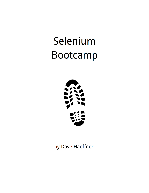# Selenium **Bootcamp**



by Dave Haeffner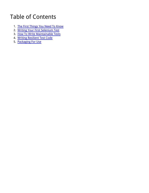## Table of Contents

- 1. The First Things You Need To Know
- 2. Writing Your First Selenium Test
- 3. <u>How To Write Maintainable Tests</u>
- 4. Writing Resilient Test Code
- 5. <mark>Packaging For Use</mark>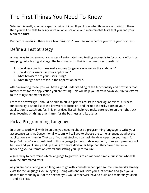## The First Things You Need To Know

Selenium is really good at a specific set of things. If you know what those are and stick to them then you will be able to easily write reliable, scalable, and maintainable tests that you and your team can trust.

But before we dig in, there are a few things you'll want to know before you write your first test.

## Define a Test Strategy

A great way to increase your chances of automated web testing success is to focus your efforts by mapping out a testing strategy. The best way to do that is to answer four questions:

- 1. How does your business make money (or generate value for the end-user)?
- 2. How do your users use your application?
- 3. What browsers are your users using?
- 4. What things have broken in the application before?

After answering these, you will have a good understanding of the functionality and browsers that matter most for the application you are testing. This will help you narrow down your initial efforts to the things that matter most.

From the answers you should be able to build a prioritized list (or backlog) of critical business functionality, a short list of the browsers to focus on, and include the risky parts of your application to watch out for. This prioritized list will help you make sure you're on the right track (e.g., focusing on things that matter for the business and its users).

## Pick a Programming Language

In order to work well with Selenium, you need to choose a programming language to write your acceptance tests in. Conventional wisdom will tell you to choose the same language as what the application is written in. That way if you get stuck you can ask the developers on your team for help. But if you're not proficient in this language (or new to development), then your progress will be slow and you'll likely end up asking for more developer help than they have time for - hindering your automation efforts and setting you up for failure.

A great way to determine which language to go with is to answer one simple question: Who will own the automated tests?

As you are considering which language to go with, consider what open source frameworks already exist for the languages you're eyeing. Going with one will save you a lot of time and give you a host of functionality out of the box that you would otherwise have to build and maintain yourself -- and it's FREE.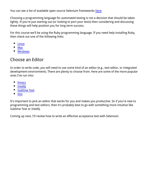You can see a list of available open source Selenium frameworks here.

Choosing a programming language for automated testing is not a decision that should be taken lightly. If you're just starting out (or looking to port your tests) then considering and discussing these things will help position you for long term success.

For this course we'll be using the Ruby programming language. If you need help installing Ruby, then check out one of the following links:

- $\bullet$ Linux
- Mac
- Windows

## Choose an Editor

In order to write code, you will need to use some kind of an editor (e.g., text editor, or integrated development environment). There are plenty to choose from. Here are some of the more popular ones I've run into:

- Emacs
- **Intellil**  $\bullet$
- Sublime Text
- Vim

It's important to pick an editor that works for you and makes you productive. So if you're new to programming and text editors, then it's probably best to go with something more intuitive like Sublime Text or IntelliJ.

Coming up next, I'll review how to write an effective acceptance test with Selenium.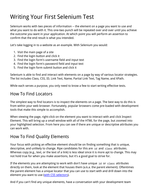## Writing Your First Selenium Test

Selenium works with two pieces of information -- the element on a page you want to use and what you want to do with it. This one-two punch will be repeated over and over until you achieve the outcome you want in your application. At which point you will perform an assertion to confirm that the end result is what you intended.

Let's take logging in to a website as an example. With Selenium you would:

- 1. Visit the main page of a site
- 2. Find the login button and click it
- 3. Find the login form's username field and input text
- 4. Find the login form's password field and input text
- 5. Find the login form submit button and click it

Selenium is able to find and interact with elements on a page by way of various locator strategies. The list includes Class, CSS, ID, Link Text, Name, Partial Link Text, Tag Name, and XPath.

While each serves a purpose, you only need to know a few to start writing effective tests.

### How To Find Locators

The simplest way to find locators is to inspect the elements on a page. The best way to do this is from within your web browser. Fortunately, popular browsers come pre-loaded with development tools that make this simple to accomplish.

When viewing the page, right-click on the element you want to interact with and click Inspect Element. This will bring up a small window with all of the HTML for the page, but zoomed into your highlighted selection. From here you can see if there are unique or descriptive attributes you can work with.

## How To Find Quality Elements

Your focus with picking an effective element should be on finding something that is unique, descriptive, and unlikely to change. Ripe candidates for this are id and class attributes. Whereas copy (e.g., text, or the text of a link) is less ideal since it is more apt to change. This may not hold true for when you make assertions, but it's a good goal to strive for.

If the elements you are attempting to work with don't have unique  $\vec{a}$  or class attributes directly on them, look at the element that houses them (a.k.a. the parent element). Oftentimes the parent element has a unique locator that you can use to start with and drill down into the element you want to use (with CSS selectors).

And if you can't find any unique elements, have a conversation with your development team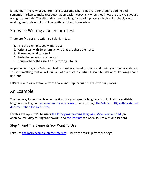letting them know what you are trying to accomplish. It's not hard for them to add helpful, semantic markup to make test automation easier, especially when they know the use case you are trying to automate. The alternative can be a lengthy, painful process which will probably yield working test code -- but it will be brittle and hard to maintain.

## Steps To Writing a Selenium Test

There are five parts to writing a Selenium test:

- 1. Find the elements you want to use
- 2. Write a test with Selenium actions that use these elements
- 3. Figure out what to assert
- 4. Write the assertion and verify it
- 5. Double-check the assertion by forcing it to fail

As part of writing your Selenium test, you will also need to create and destroy a browser instance. This is something that we will pull out of our tests in a future lesson, but it's worth knowing about up front.

Let's take our login example from above and step through the test writing process.

### An Example

The best way to find the Selenium actions for your specific language is to look at the available language binding on the Selenium HQ wiki pages or look through the Selenium HQ getting started documentation for WebDriver.

For this example, we'll be using the Ruby programming language, RSpec version 2.14 (an open-source Ruby testing framework), and the-internet (an open-source web application).

Step 1: Find The Elements You Want To Use

Let's use the login example on the-internet). Here's the markup from the page.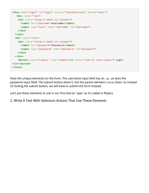```
<form name="login" id="login" action="/authenticate" method="post">
    <div class="row">
     <div class="large-6 small-12 columns">
       <label for="username">Username</label>
       <input type="text" name="username" id="username">
     </div>
   </div>
   <div class="row">
     <div class="large-6 small-12 columns">
       <label for="password">Password</label>
       <input type="password" name="password" id="password">
     </div>
   </div>
     <button class="radius" type="submit"><i class="icon-2x icon-signin"> Login
</i></button>
</form>
```
Note the unique elements on the form. The username input field has an  $\mathbf{a}$  as does the password input field. The submit button doesn't, but the parent element ( $_{\text{form}}$ ) does. So instead of clicking the submit button, we will have to submit the form instead.

Let's put these elements to use in our first test (or 'spec' as it's called in RSpec).

#### 2. Write A Test With Selenium Actions That Use These Elements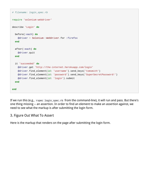```
# filename: login_spec.rb
require 'selenium-webdriver'
describe 'Login' do
  before(:each) do
     @driver = Selenium::WebDriver.for :firefox
   end
   after(:each) do
    @driver.quit
   end
   it 'succeeded' do
     @driver.get 'http://the-internet.herokuapp.com/login'
     @driver.find_element(id: 'username').send_keys('tomsmith')
     @driver.find_element(id: 'password').send_keys('SuperSecretPassword!')
     @driver.find_element(id: 'login').submit
   end
end
```
If we run this (e.g., rspec login\_spec.rb from the command-line), it will run and pass. But there's one thing missing -- an assertion. In order to find an element to make an assertion against, we need to see what the markup is after submitting the login form.

#### 3. Figure Out What To Assert

Here is the markup that renders on the page after submitting the login form.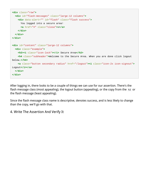```
<div class="row">
   <div id="flash-messages" class="large-12 columns">
    <div data-alert="" id="flash" class="flash success">
      You logged into a secure area!
       <a href="#" class="close">x</a>
     </div>
   </div>
</div>
<div id="content" class="large-12 columns">
   <div class="example">
     <h2><i class="icon-lock"></i> Secure Area</h2>
     <h4 class="subheader">Welcome to the Secure Area. When you are done click logout
below.</h4>
     <a class="button secondary radius" href="/logout"><i class="icon-2x icon-signout">
Logout</i></a>
   </div>
</div>
```
After logging in, there looks to be a couple of things we can use for our assertion. There's the flash message class (most appealing), the logout button (appealing), or the copy from the  $h_2$  or the flash message (least appealing).

Since the flash message class name is descriptive, denotes success, and is less likely to change than the copy, we'll go with that.

4. Write The Assertion And Verify It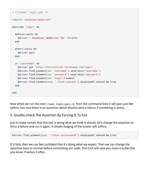```
# filename: login_spec.rb
require 'selenium-webdriver'
describe 'Login' do
  before(:each) do
     @driver = Selenium::WebDriver.for :firefox
   end
   after(:each) do
    @driver.quit
   end
   it 'succeeded' do
     @driver.get 'http://the-internet.herokuapp.com/login'
     @driver.find_element(id: 'username').send_keys('username')
     @driver.find_element(id: 'password').send_keys('password')
     @driver.find_element(id: 'login').submit
     @driver.find_element(css: '.flash.success').displayed?.should be_true
   end
end
```
Now when we run this test ( $r<sub>spec login\_spec.rb</sub>$  from the command-line) it will pass just like before, but now there is an assertion which should catch a failure if something is amiss.

#### 5. Double-check The Assertion By Forcing It To Fail

Just to make certain that this test is doing what we think it should, let's change the assertion to force a failure and run it again. A simple fudging of the locator will suffice.

```
@driver.find_element(css: '.flash.successasdf').displayed?.should be_true
```
If it fails, then we can feel confident that it's doing what we expect. Then we can change the assertion back to normal before committing our code. This trick will save you more trouble that you know. Practice it often.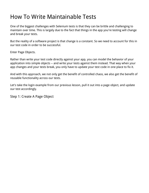## How To Write Maintainable Tests

One of the biggest challenges with Selenium tests is that they can be brittle and challenging to maintain over time. This is largely due to the fact that things in the app you're testing will change and break your tests.

But the reality of a software project is that change is a constant. So we need to account for this in our test code in order to be successful.

Enter Page Objects.

Rather than write your test code directly against your app, you can model the behavior of your application into simple objects -- and write your tests against them instead. That way when your app changes and your tests break, you only have to update your test code in one place to fix it.

And with this approach, we not only get the benefit of controlled chaos, we also get the benefit of reusable functionality across our tests.

Let's take the login example from our previous lesson, pull it out into a page object, and update our test accordingly.

Step 1: Create A Page Object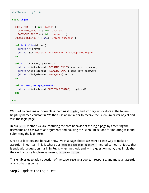```
# filename: login.rb
class Login
  LOGIN FORM = \{ id: 'login' \} USERNAME_INPUT = { id: 'username' }
     PASSWORD_INPUT = { id: 'password' }
  SUCCESS MESSAGE = { css: '.flash.success' }
   def initialize(driver)
     @driver = driver
     @driver.get 'http://the-internet.herokuapp.com/login'
   end
   def with(username, password)
     @driver.find_element(USERNAME_INPUT).send_keys(username)
     @driver.find_element(PASSWORD_INPUT).send_keys(password)
    @driver.find_element(LOGIN_FORM).submit
   end
   def success_message_present?
     @driver.find_element(SUCCESS_MESSAGE).displayed?
   end
end
```
We start by creating our own class, naming it  $\text{Login}$ , and storing our locators at the top (in helpfully named constants). We then use an initializer to receive the Selenium driver object and visit the login page.

In our with method we are capturing the core behavior of the login page by accepting the username and password as arguments and housing the Selenium actions for inputting text and submitting the login form.

Since our locators and behavior now live in a page object, we want a clean way to make an assertion in our test. This is where our success\_message\_present? method comes in. Notice that it ends with a question mark. In Ruby, when methods end with a question mark, they imply that they will return a boolean value (e.g., true or false).

This enables us to ask a question of the page, receive a boolean response, and make an assertion against that response.

Step 2: Update The Login Test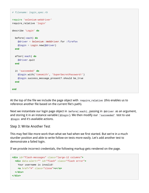```
# filename: login_spec.rb
require 'selenium-webdriver'
require_relative 'login'
describe 'Login' do
  before(:each) do
     @driver = Selenium::WebDriver.for :firefox
    @login = Login.new(@driver)
   end
   after(:each) do
     @driver.quit
   end
   it 'succeeded' do
     @login.with('tomsmith', 'SuperSecretPassword!')
     @login.success_message_present?.should be_true
   end
end
```
At the top of the file we include the page object with  $_{\rm{require\_relative}}$  (this enables us to reference another file based on the current file's path).

Next we instantiate our login page object in before(:each) , passing in @driver as an argument, and storing it in an instance variable ( $\omega$ login). We then modify our  $\omega$  is  $\omega$  is acceeded the station use @login and it's available actions.

#### Step 3: Write Another Test

This may feel like more work than what we had when we first started. But we're in a much sturdier position and able to write follow-on tests more easily. Let's add another test to demonstrate a failed login.

If we provide incorrect credentials, the following markup gets rendered on the page.

```
<div id="flash-messages" class="large-12 columns">
   <div data-alert="" id="flash" class="flash error">
    Your username is invalid!
     <a href="#" class="close">x</a>
   </div>
</div>
```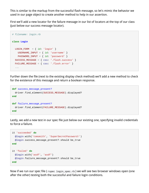This is similar to the markup from the successful flash message, so let's mimic the behavior we used in our page object to create another method to help in our assertion.

First we'll add a new locator for the failure message in our list of locators at the top of our class (just below our success message locator).

```
# filename: login.rb
class Login
 LOGIN_FORM = \{ id: 'login' \}USERNAME INPUT = \{ id: 'username' \} PASSWORD_INPUT = { id: 'password' }
  SUCCESS_MESSAGE = { css: '.flash.success' }
  FAILURE_MESSAGE = { css: '.flash.error' }
   ...
```
Further down the file (next to the existing display check method) we'll add a new method to check for the existence of this message and return a boolean response.

```
def success_message_present?
  driver.find_element(SUCCESS_MESSAGE).displayed?
end
def failure_message_present?
  driver.find_element(FAILURE_MESSAGE).displayed?
end
```
Lastly, we add a new test in our spec file just below our existing one, specifying invalid credentials to force a failure.

```
it 'succeeded' do
  @login.with('tomsmith', 'SuperSecretPassword!')
  @login.success_message_present?.should be_true
end
it 'failed' do
  @login.with('asdf', 'asdf')
  @login.failure_message_present?.should be_true
end
```
Now if we run our spec file ( $r<sub>spec login\_spec.rb</sub>$ ) we will see two browser windows open (one after the other) testing both the successful and failure login conditions.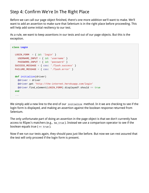## Step 4: Confirm We're In The Right Place

Before we can call our page object finished, there's one more addition we'll want to make. We'll want to add an assertion to make sure that Selenium is in the right place before proceeding. This will help add some initial resiliency to our test.

As a rule, we want to keep assertions in our tests and out of our page objects. But this is the exception.

```
class Login
 LOGIN_FORM = { id: 'login' } USERNAME_INPUT = { id: 'username' }
    PASSWORD_INPUT = { id: 'password' }
   SUCCESS_MESSAGE = { css: '.flash.success' }
  FAILURE_MESSAGE = { css: '.flash.error' }
  def initialize(driver)
     @driver = driver
    @driver.get 'http://the-internet.herokuapp.com/login'
     @driver.find_element(LOGIN_FORM).displayed?.should == true
   end
   ...
```
We simply add a new line to the end of our initialize method. In it we are checking to see if the login form is displayed, and making an assertion against the boolean response returned from Selenium.

The only unfortunate part of doing an assertion in the page object is that we don't currently have access to RSpec's matchers (e.g.,  $be\_true$ ). Instead we use a comparison operator to see if the boolean equals true  $( == true)$ .

Now if we run our tests again, they should pass just like before. But now we can rest assured that the test will only proceed if the login form is present.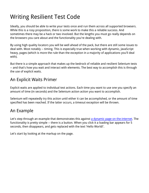## Writing Resilient Test Code

Ideally, you should be able to write your tests once and run them across all supported browsers. While this is a rosy proposition, there is some work to make this a reliable success. And sometimes there may be a hack or two involved. But the lengths you must go really depends on the browsers you care about and the functionality you're dealing with.

By using high quality locators you will be well ahead of the pack, but there are still some issues to deal with. Most notably -- timing. This is especially true when working with dynamic, JavaScript heavy, pages (which is more the rule than the exception in a majority of applications you'll deal with).

But there is a simple approach that makes up the bedrock of reliable and resilient Selenium tests -- and that's how you wait and interact with elements. The best way to accomplish this is through the use of explicit waits.

## An Explicit Waits Primer

Explicit waits are applied to individual test actions. Each time you want to use one you specify an amount of time (in seconds) and the Selenium action action you want to accomplish.

Selenium will repeatedly try this action until either it can be accomplished, or the amount of time specified has been reached. If the latter occurs, a timeout exception will be thrown.

## An Example

Let's step through an example that demonstrates this against a dynamic page on the-internet. The functionality is pretty simple -- there is a button. When you click it a loading bar appears for 5 seconds, then disappears, and gets replaced with the text 'Hello World!'.

Let's start by looking at the markup on the page.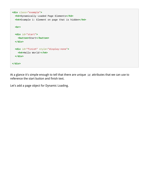```
<div class="example">
   <h3>Dynamically Loaded Page Elements</h3>
   <h4>Example 1: Element on page that is hidden</h4>
   <br>
   <div id="start">
    <button>Start</button>
   </div>
  <div id="finish" style="display:none">
     <h4>Hello World!</h4>
   </div>
</div>
```
At a glance it's simple enough to tell that there are unique id attributes that we can use to reference the start button and finish text.

Let's add a page object for Dynamic Loading.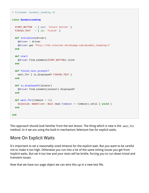```
# filename: dynamic_loading.rb
class DynamicLoading
   START_BUTTON = { css: '#start button' }
  FINISH_TEXT = { id: 'finish' }
   def initialize(driver)
     @driver = driver
    @driver.get "http://the-internet.herokuapp.com/dynamic_loading/1"
   end
   def start
     @driver.find_element(START_BUTTON).click
   end
   def finish_text_present?
     wait_for { is_displayed? FINISH_TEXT }
   end
   def is_displayed?(locator)
     @driver.find_element(locator).displayed?
   end
  def wait_for(timeout = 15)
     Selenium::WebDriver::Wait.new(:timeout => timeout).until { yield }
   end
end
```
This approach should look familiar from the last lesson. The thing which is new is the wait\_for method. In it we are using the built-in mechanism Selenium has for explicit waits.

### More On Explicit Waits

It's important to set a reasonably sized timeout for the explicit wait. But you want to be careful not to make it too high. Otherwise you run into a lot of the same timing issues you get from implicit waits. But set it too low and your tests will be brittle, forcing you to run down trivial and transient issues.

Now that we have our page object we can wire this up in a new test file.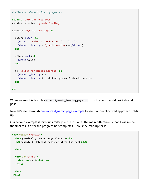```
# filename: dynamic_loading_spec.rb
require 'selenium-webdriver'
require_relative 'dynamic_loading'
describe 'Dynamic Loading' do
  before(:each) do
     @driver = Selenium::WebDriver.for :firefox
     @dynamic_loading = DynamicLoading.new(@driver)
   end
   after(:each) do
     @driver.quit
   end
   it 'Waited for Hidden Element' do
     @dynamic_loading.start
     @dynamic_loading.finish_text_present?.should be_true
   end
end
```
When we run this test file (  $r<sub>spec</sub>$   $\alpha$ <sub>ynamic\_loading\_page.rb</sub> from the command-line) it should pass.

Now let's step through one more dynamic page example to see if our explicit wait approach holds up.

Our second example is laid out similarly to the last one. The main difference is that it will render the final result after the progress bar completes. Here's the markup for it.

```
<div class="example">
   <h3>Dynamically Loaded Page Elements</h3>
   <h4>Example 2: Element rendered after the fact</h4>
   <br>
   <div id="start">
     <button>Start</button>
   </div>
   <br>
</div>
```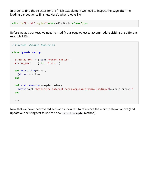In order to find the selector for the finish text element we need to inspect the page after the loading bar sequence finishes. Here's what it looks like.

```
<div id="finish" style=""><h4>Hello World!</h4></div>
```
Before we add our test, we need to modify our page object to accommodate visiting the different example URLs.

```
# filename: dynamic_loading.rb
class DynamicLoading
  START_BUTTON = { css: '#start button' }
 FINISH_TEXT = { id: 'finish' }
  def initialize(driver)
    @driver = driver
  end
  def visit_example(example_number)
    @driver.get "http://the-internet.herokuapp.com/dynamic_loading/#{example_number}"
   end
   ...
```
Now that we have that covered, let's add a new test to reference the markup shown above (and update our existing test to use the new .visit\_example method).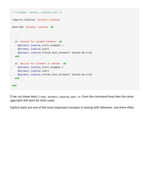```
# filename: dynamic_loading_spec.rb
require_relative 'dynamic_loading'
describe 'Dynamic Loading' do
   ...
   it 'Waited for Hidden Element' do
     @dynamic_loading.visit_example 1
     @dynamic_loading.start
     @dynamic_loading.finish_text_present?.should be_true
   end
   it 'Waited for Element To Render' do
     @dynamic_loading.visit_example 2
     @dynamic_loading.start
     @dynamic_loading.finish_text_present?.should be_true
   end
end
```
If we run these tests ( $r<sub>spec</sub>$   $d<sub>gamma</sub>$   $d<sub>z</sub>$   $d<sub>z</sub>$   $d<sub>z</sub>$   $d<sub>z</sub>$   $d<sub>z</sub>$   $d<sub>z</sub>$   $d<sub>z</sub>$   $d<sub>z</sub>$   $d<sub>z</sub>$   $e<sub>z</sub>$   $e<sub>z</sub>$   $e<sub>z</sub>$   $e<sub>z</sub>$   $e<sub>z</sub>$   $e<sub>z</sub>$   $e<sub>z</sub>$  approach will work for both cases.

Explicit waits are one of the most important concepts in testing with Selenium. Use them often.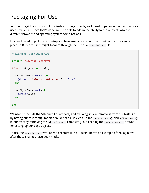## Packaging For Use

In order to get the most out of our tests and page objects, we'll need to package them into a more useful structure. Once that's done, we'll be able to add in the ability to run our tests against different browser and operating system combinations.

First we'll need to pull the test setup and teardown actions out of our tests and into a central place. In RSpec this is straight-forward through the use of a  $_{\rm spec\_helper}$  file.

```
# filename: spec_helper.rb
require 'selenium-webdriver'
RSpec.configure do |config|
   config.before(:each) do
    @driver = Selenium::WebDriver.for :firefox
   end
   config.after(:each) do
    @driver.quit
   end
end
```
We need to include the Selenium library here, and by doing so, can remove it from our tests. And by having our test configuration here, we can also clean up the  $before(\text{:each})$  and  $after(\text{:each})$ in our tests by removing the  $after$  (:each) completely, but keeping the  $before$  (:each) around for setting up our page objects.

To use the spec\_helper we'll need to require it in our tests. Here's an example of the login test after these changes have been made.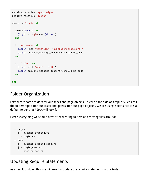```
require_relative 'spec_helper'
require_relative 'login'
describe 'Login' do
  before(:each) do
     @login = Login.new(@driver)
   end
   it 'succeeded' do
     @login.with('tomsmith', 'SuperSecretPassword!')
    @login.success message present?.should be true
   end
   it 'failed' do
     @login.with('asdf', 'asdf')
     @login.failure_message_present?.should be_true
   end
end
```
#### Folder Organization

Let's create some folders for our specs and page objects. To err on the side of simplicity, let's call the folders 'spec' (for our tests) and 'pages' (for our page objects). We are using 'spec' since it is a default folder that RSpec will look for.

Here's everything we should have after creating folders and moving files around:



## Updating Require Statements

As a result of doing this, we will need to update the require statements in our tests.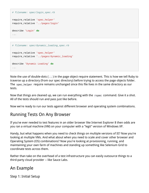```
# filename: spec/login spec.rb
```

```
require_relative 'spec_helper'
require_relative '../pages/login'
describe 'Login' do
```
...

```
# filename: spec/dynamic_loading_spec.rb
require_relative 'spec_helper'
require_relative '../pages/dynamic_loading'
describe 'Dynamic Loading' do
...
```
Note the use of double-dots ( .. ) in the page object require statement. This is how we tell Ruby to traverse up a directory (from our spec directory) before trying to access the page objects folder. The spec\_helper require remains unchanged since this file lives in the same directory as our tests.

Now that things are cleaned up, we can run everything with the  $r<sub>spec</sub>$  command. Give it a shot. All of the tests should run and pass just like before.

Now we're ready to run our tests against different browser and operating system combinations.

## Running Tests On Any Browser

If you've ever needed to test features in an older browser like Internet Explorer 8 then odds are you ran a virtual machine (VM) on your computer with a "legit" version of Windows XP.

Handy, but what happens when you need to check things on multiple versions of IE? Now you're looking at multiple VMs. And what about when you need to scale and cover other browser and Operating System (OS) combinations? Now you're looking at provisioning, running, and maintaining your own farm of machines and standing up something like Selenium Grid to coordinate tests across them.

Rather than take on the overhead of a test infrastructure you can easily outsource things to a third-party cloud provider -- like Sauce Labs.

## An Example

Step 1: Initial Setup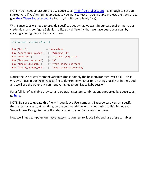NOTE: You'll need an account to use Sauce Labs. Their free trial account has enough to get you started. And if you're signing up because you want to test an open source project, then be sure to give their 'Open Sauce' account a look (tl;dr -- it's completely free).

With Sauce Labs we need to provide specifics about what we want in our test environment, our credentials, and configure Selenium a little bit differently than we have been. Let's start by creating a config file for cloud execution.

```
# filename: config_cloud.rb
ENV['host'] = 'saucelabs'
ENV['operating_system'] ||= 'Windows XP'
ENV['browser'] ||= 'internet_explorer'
ENV['browser_version'] ||= '8'
ENV['SAUCE_USERNAME'] ||= 'your-sauce-username'
ENV['SAUCE_ACCESS_KEY'] ||= 'your-sauce-access-key'
```
Notice the use of environment variables (most notably the host environment variable). This is what we'll use in our spec\_helper file to determine whether to run things locally or in the cloud -and we'll use the other environment variables to our Sauce Labs session.

For a full list of available browser and operating system combinations supported by Sauce Labs, go here.

NOTE: Be sure to update this file with you Sauce Username and Sauce Access Key, or, specify them externally (e.g., at run time, on the command-line, or in your bash profile). To get your Sauce Access Key, go to the bottom-left corner of your Sauce Account page.

Now we'll need to update our spec\_helper to connect to Sauce Labs and use these variables.